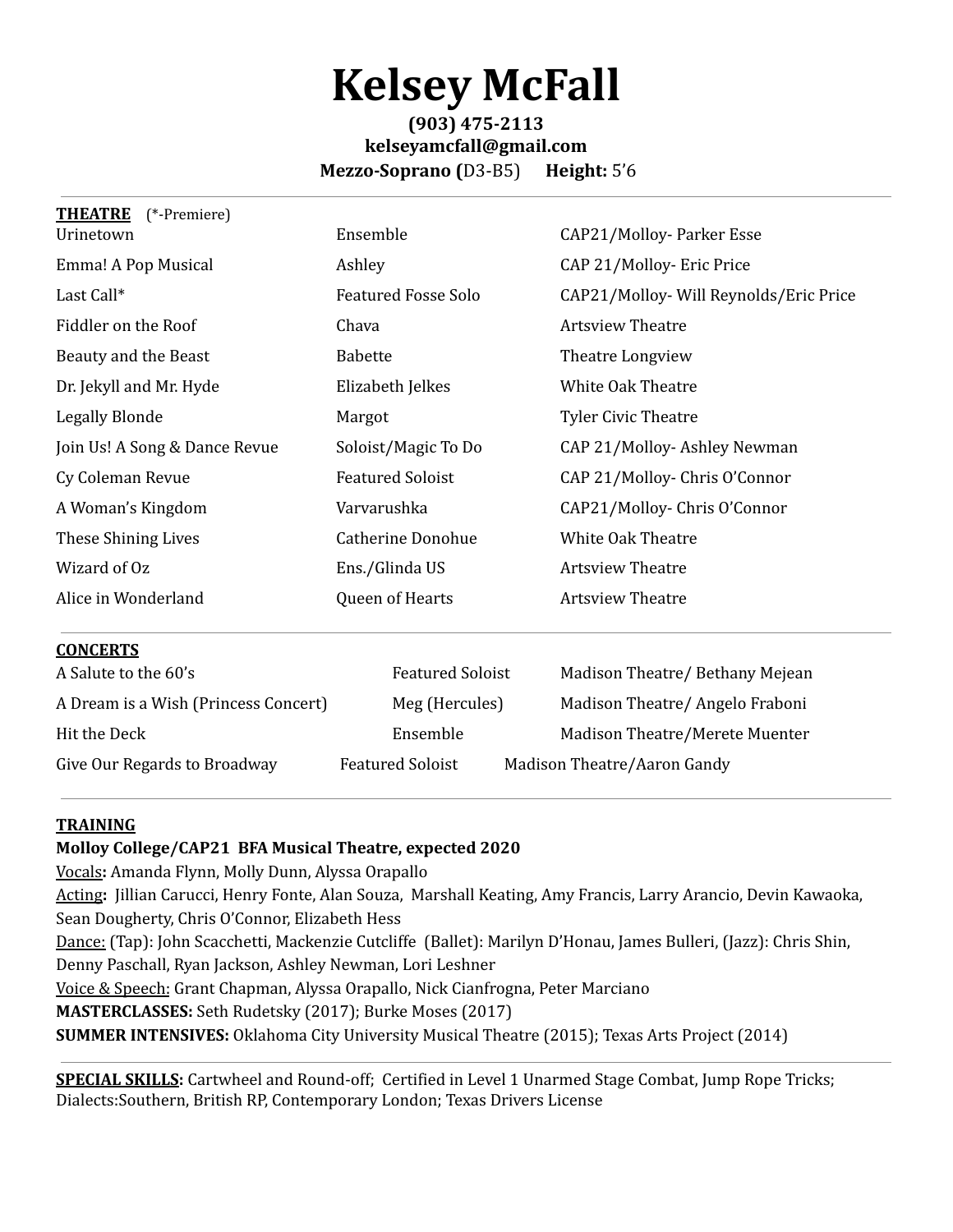## **Kelsey McFall**

## **(903) 475-2113 kelseyamcfall@gmail.com Mezzo-Soprano (**D3-B5) **Height:** 5'6

| <b>THEATRE</b><br>(*-Premiere)       |                            |                                        |
|--------------------------------------|----------------------------|----------------------------------------|
| Urinetown                            | Ensemble                   | CAP21/Molloy-Parker Esse               |
| Emma! A Pop Musical                  | Ashley                     | CAP 21/Molloy- Eric Price              |
| Last Call*                           | <b>Featured Fosse Solo</b> | CAP21/Molloy- Will Reynolds/Eric Price |
| Fiddler on the Roof                  | Chava                      | <b>Artsview Theatre</b>                |
| Beauty and the Beast                 | <b>Babette</b>             | Theatre Longview                       |
| Dr. Jekyll and Mr. Hyde              | Elizabeth Jelkes           | <b>White Oak Theatre</b>               |
| Legally Blonde                       | Margot                     | <b>Tyler Civic Theatre</b>             |
| Join Us! A Song & Dance Revue        | Soloist/Magic To Do        | CAP 21/Molloy-Ashley Newman            |
| Cy Coleman Revue                     | <b>Featured Soloist</b>    | CAP 21/Molloy- Chris O'Connor          |
| A Woman's Kingdom                    | Varvarushka                | CAP21/Molloy-Chris O'Connor            |
| These Shining Lives                  | <b>Catherine Donohue</b>   | White Oak Theatre                      |
| Wizard of Oz                         | Ens./Glinda US             | <b>Artsview Theatre</b>                |
| Alice in Wonderland                  | Queen of Hearts            | <b>Artsview Theatre</b>                |
| <b>CONCERTS</b>                      |                            |                                        |
| A Salute to the 60's                 | <b>Featured Soloist</b>    | Madison Theatre/Bethany Mejean         |
| A Dream is a Wish (Princess Concert) | Meg (Hercules)             | Madison Theatre/ Angelo Fraboni        |

| Hit the Deck                 | Ensemble                | Madison Theatre/Meret       |
|------------------------------|-------------------------|-----------------------------|
| Give Our Regards to Broadway | <b>Featured Soloist</b> | Madison Theatre/Aaron Gandy |

Madison Theatre/Merete Muenter

## **TRAINING**

## **Molloy College/CAP21 BFA Musical Theatre, expected 2020**

Vocals**:** Amanda Flynn, Molly Dunn, Alyssa Orapallo

Acting**:** Jillian Carucci, Henry Fonte, Alan Souza, Marshall Keating, Amy Francis, Larry Arancio, Devin Kawaoka, Sean Dougherty, Chris O'Connor, Elizabeth Hess

Dance: (Tap): John Scacchetti, Mackenzie Cutcliffe (Ballet): Marilyn D'Honau, James Bulleri, (Jazz): Chris Shin, Denny Paschall, Ryan Jackson, Ashley Newman, Lori Leshner

Voice & Speech: Grant Chapman, Alyssa Orapallo, Nick Cianfrogna, Peter Marciano

**MASTERCLASSES:** Seth Rudetsky (2017); Burke Moses (2017)

**SUMMER INTENSIVES:** Oklahoma City University Musical Theatre (2015); Texas Arts Project (2014)

**SPECIAL SKILLS:** Cartwheel and Round-off; Certified in Level 1 Unarmed Stage Combat, Jump Rope Tricks; Dialects:Southern, British RP, Contemporary London; Texas Drivers License